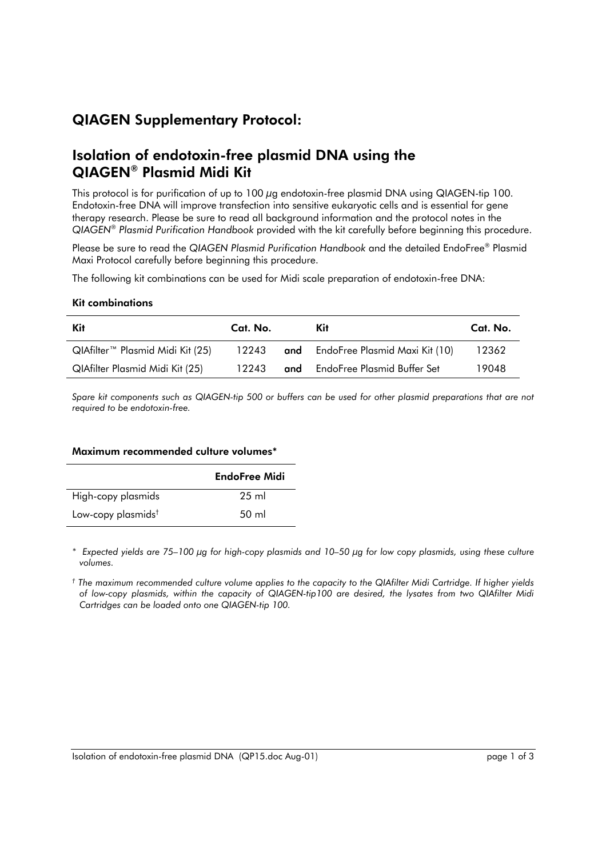# QIAGEN Supplementary Protocol:

## Isolation of endotoxin-free plasmid DNA using the QIAGEN® Plasmid Midi Kit

This protocol is for purification of up to 100 µg endotoxin-free plasmid DNA using QIAGEN-tip 100. Endotoxin-free DNA will improve transfection into sensitive eukaryotic cells and is essential for gene therapy research. Please be sure to read all background information and the protocol notes in the *QIAGENÆ Plasmid Purification Handbook* provided with the kit carefully before beginning this procedure.

Please be sure to read the *QIAGEN Plasmid Purification Handbook* and the detailed EndoFree® Plasmid Maxi Protocol carefully before beginning this procedure.

The following kit combinations can be used for Midi scale preparation of endotoxin-free DNA:

#### Kit combinations

| Kit                                          | Cat. No. | Kit                                      | Cat. No. |
|----------------------------------------------|----------|------------------------------------------|----------|
| QIAfilter <sup>™</sup> Plasmid Midi Kit (25) |          | 12243 and EndoFree Plasmid Maxi Kit (10) | 12362    |
| QIAfilter Plasmid Midi Kit (25)              | 12243    | <b>and</b> EndoFree Plasmid Buffer Set   | 19048    |

Spare kit components such as QIAGEN-tip 500 or buffers can be used for other plasmid preparations that are not *required to be endotoxin-free.*

#### Maximum recommended culture volumes\*

|                                | EndoFree Midi   |
|--------------------------------|-----------------|
| High-copy plasmids             | 25 ml           |
| Low-copy plasmids <sup>†</sup> | $50 \text{ ml}$ |

\* Expected yields are 75–100 µg for high-copy plasmids and 10–50 µg for low copy plasmids, using these culture *volumes.* 

*Ü The maximum recommended culture volume applies to the capacity to the QIAfilter Midi Cartridge. If higher yields of low-copy plasmids, within the capacity of QIAGEN-tip100 are desired, the lysates from two QIAfilter Midi Cartridges can be loaded onto one QIAGEN-tip 100.*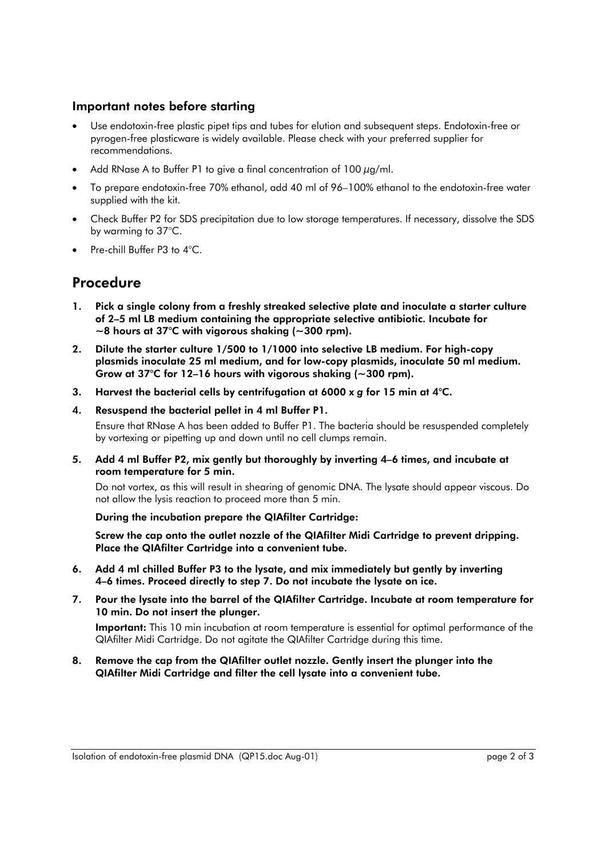### Important notes before starting

- Use endotoxin-free plastic pipet tips and tubes for elution and subsequent steps. Endotoxin-free or pyrogen-free plasticware is widely available. Please check with your preferred supplier for recommendations.
- Add RNase A to Buffer P1 to give a final concentration of 100  $\mu$ g/ml.
- To prepare endotoxin-free 70% ethanol, add 40 ml of 96–100% ethanol to the endotoxin-free water supplied with the kit.
- Check Buffer P2 for SDS precipitation due to low storage temperatures. If necessary, dissolve the SDS by warming to 37°C.
- Pre-chill Buffer P3 to 4°C.

### Procedure

- 1. Pick a single colony from a freshly streaked selective plate and inoculate a starter culture of 2–5 ml LB medium containing the appropriate selective antibiotic. Incubate for  $\sim$ 8 hours at 37°C with vigorous shaking ( $\sim$ 300 rpm).
- 2. Dilute the starter culture 1/500 to 1/1000 into selective LB medium. For high-copy plasmids inoculate 25 ml medium, and for low-copy plasmids, inoculate 50 ml medium. Grow at 37°C for 12–16 hours with vigorous shaking ( $\sim$ 300 rpm).
- 3. Harvest the bacterial cells by centrifugation at 6000 x *g* for 15 min at 4°C.
- 4. Resuspend the bacterial pellet in 4 ml Buffer P1.

 Ensure that RNase A has been added to Buffer P1. The bacteria should be resuspended completely by vortexing or pipetting up and down until no cell clumps remain.

5. Add 4 ml Buffer P2, mix gently but thoroughly by inverting 4–6 times, and incubate at room temperature for 5 min.

 Do not vortex, as this will result in shearing of genomic DNA. The lysate should appear viscous. Do not allow the lysis reaction to proceed more than 5 min.

During the incubation prepare the QIAfilter Cartridge:

 Screw the cap onto the outlet nozzle of the QIAfilter Midi Cartridge to prevent dripping. Place the QIAfilter Cartridge into a convenient tube.

- 6. Add 4 ml chilled Buffer P3 to the lysate, and mix immediately but gently by inverting 4-6 times. Proceed directly to step 7. Do not incubate the lysate on ice.
- 7. Pour the lysate into the barrel of the QIAfilter Cartridge. Incubate at room temperature for 10 min. Do not insert the plunger.

Important: This 10 min incubation at room temperature is essential for optimal performance of the QIAfilter Midi Cartridge. Do not agitate the QIAfilter Cartridge during this time.

8. Remove the cap from the QIAfilter outlet nozzle. Gently insert the plunger into the QIAfilter Midi Cartridge and filter the cell lysate into a convenient tube.